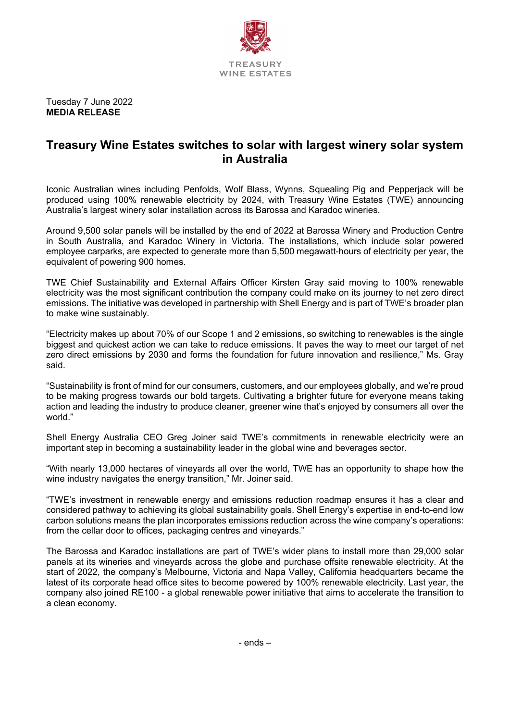

Tuesday 7 June 2022 **MEDIA RELEASE**

# **Treasury Wine Estates switches to solar with largest winery solar system in Australia**

Iconic Australian wines including Penfolds, Wolf Blass, Wynns, Squealing Pig and Pepperjack will be produced using 100% renewable electricity by 2024, with Treasury Wine Estates (TWE) announcing Australia's largest winery solar installation across its Barossa and Karadoc wineries.

Around 9,500 solar panels will be installed by the end of 2022 at Barossa Winery and Production Centre in South Australia, and Karadoc Winery in Victoria. The installations, which include solar powered employee carparks, are expected to generate more than 5,500 megawatt-hours of electricity per year, the equivalent of powering 900 homes.

TWE Chief Sustainability and External Affairs Officer Kirsten Gray said moving to 100% renewable electricity was the most significant contribution the company could make on its journey to net zero direct emissions. The initiative was developed in partnership with Shell Energy and is part of TWE's broader plan to make wine sustainably.

"Electricity makes up about 70% of our Scope 1 and 2 emissions, so switching to renewables is the single biggest and quickest action we can take to reduce emissions. It paves the way to meet our target of net zero direct emissions by 2030 and forms the foundation for future innovation and resilience," Ms. Gray said.

"Sustainability is front of mind for our consumers, customers, and our employees globally, and we're proud to be making progress towards our bold targets. Cultivating a brighter future for everyone means taking action and leading the industry to produce cleaner, greener wine that's enjoyed by consumers all over the world."

Shell Energy Australia CEO Greg Joiner said TWE's commitments in renewable electricity were an important step in becoming a sustainability leader in the global wine and beverages sector.

"With nearly 13,000 hectares of vineyards all over the world, TWE has an opportunity to shape how the wine industry navigates the energy transition," Mr. Joiner said.

"TWE's investment in renewable energy and emissions reduction roadmap ensures it has a clear and considered pathway to achieving its global sustainability goals. Shell Energy's expertise in end-to-end low carbon solutions means the plan incorporates emissions reduction across the wine company's operations: from the cellar door to offices, packaging centres and vineyards."

The Barossa and Karadoc installations are part of TWE's wider plans to install more than 29,000 solar panels at its wineries and vineyards across the globe and purchase offsite renewable electricity. At the start of 2022, the company's Melbourne, Victoria and Napa Valley, California headquarters became the latest of its corporate head office sites to become powered by 100% renewable electricity. Last year, the company also joined RE100 - a global renewable power initiative that aims to accelerate the transition to a clean economy.